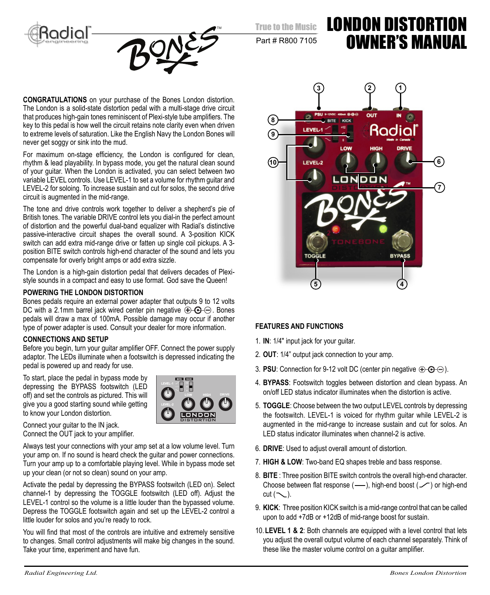True to the Music





Part # R800 7105

# LONDON DISTORTION OWNER'S MANUAL

**CONGRATULATIONS** on your purchase of the Bones London distortion. The London is a solid-state distortion pedal with a multi-stage drive circuit that produces high-gain tones reminiscent of Plexi-style tube amplifiers. The key to this pedal is how well the circuit retains note clarity even when driven to extreme levels of saturation. Like the English Navy the London Bones will never get soggy or sink into the mud.

For maximum on-stage efficiency, the London is configured for clean, rhythm & lead playability. In bypass mode, you get the natural clean sound of your guitar. When the London is activated, you can select between two variable LEVEL controls. Use LEVEL-1 to set a volume for rhythm guitar and LEVEL-2 for soloing. To increase sustain and cut for solos, the second drive circuit is augmented in the mid-range.

The tone and drive controls work together to deliver a shepherd's pie of British tones. The variable DRIVE control lets you dial-in the perfect amount of distortion and the powerful dual-band equalizer with Radial's distinctive passive-interactive circuit shapes the overall sound. A 3-position KICK switch can add extra mid-range drive or fatten up single coil pickups. A 3 position BITE switch controls high-end character of the sound and lets you compensate for overly bright amps or add extra sizzle.

The London is a high-gain distortion pedal that delivers decades of Plexistyle sounds in a compact and easy to use format. God save the Queen!

### **POWERING THE LONDON DISTORTION**

Bones pedals require an external power adapter that outputs 9 to 12 volts DC with a 2.1mm barrel jack wired center pin negative  $\bigoplus \bigoplus \bigoplus$ . Bones pedals will draw a max of 100mA. Possible damage may occur if another type of power adapter is used. Consult your dealer for more information.

#### **CONNECTIONS AND SETUP**

Before you begin, turn your guitar amplifier OFF. Connect the power supply adaptor. The LEDs illuminate when a footswitch is depressed indicating the pedal is powered up and ready for use.

To start, place the pedal in bypass mode by depressing the BYPASS footswitch (LED off) and set the controls as pictured. This will give you a good starting sound while getting to know your London distortion.



Connect your guitar to the IN jack. Connect the OUT jack to your amplifier.

Always test your connections with your amp set at a low volume level. Turn your amp on. If no sound is heard check the guitar and power connections. Turn your amp up to a comfortable playing level. While in bypass mode set up your clean (or not so clean) sound on your amp.

Activate the pedal by depressing the BYPASS footswitch (LED on). Select channel-1 by depressing the TOGGLE footswitch (LED off). Adjust the LEVEL-1 control so the volume is a little louder than the bypassed volume. Depress the TOGGLE footswitch again and set up the LEVEL-2 control a little louder for solos and you're ready to rock.

You will find that most of the controls are intuitive and extremely sensitive to changes. Small control adjustments will make big changes in the sound. Take your time, experiment and have fun.



#### **FEATURES AND FUNCTIONS**

- 1. **IN**: 1/4" input jack for your guitar.
- 2. **OUT**: 1/4" output jack connection to your amp.
- 3. **PSU**: Connection for 9-12 volt DC (center pin negative  $\bigoplus$   $\bigoplus$   $\bigoplus$ ).
- 4. **BYPASS**: Footswitch toggles between distortion and clean bypass. An on/off LED status indicator illuminates when the distortion is active.
- 5. **TOGGLE**: Choose between the two output LEVEL controls by depressing the footswitch. LEVEL-1 is voiced for rhythm guitar while LEVEL-2 is augmented in the mid-range to increase sustain and cut for solos. An LED status indicator illuminates when channel-2 is active.
- 6. **DRIVE**: Used to adjust overall amount of distortion.
- 7. **HIGH & LOW**: Two-band EQ shapes treble and bass response.
- 8. **BITE** : Three position BITE switch controls the overall high-end character. Choose between flat response  $($ —), high-end boost  $($  $\angle$  $)$  or high-end  $cut (\sim)$ .
- 9. **KICK**: Three position KICK switch is a mid-range control that can be called upon to add +7dB or +12dB of mid-range boost for sustain.
- 10. **LEVEL 1 & 2**: Both channels are equipped with a level control that lets you adjust the overall output volume of each channel separately. Think of these like the master volume control on a guitar amplifier.